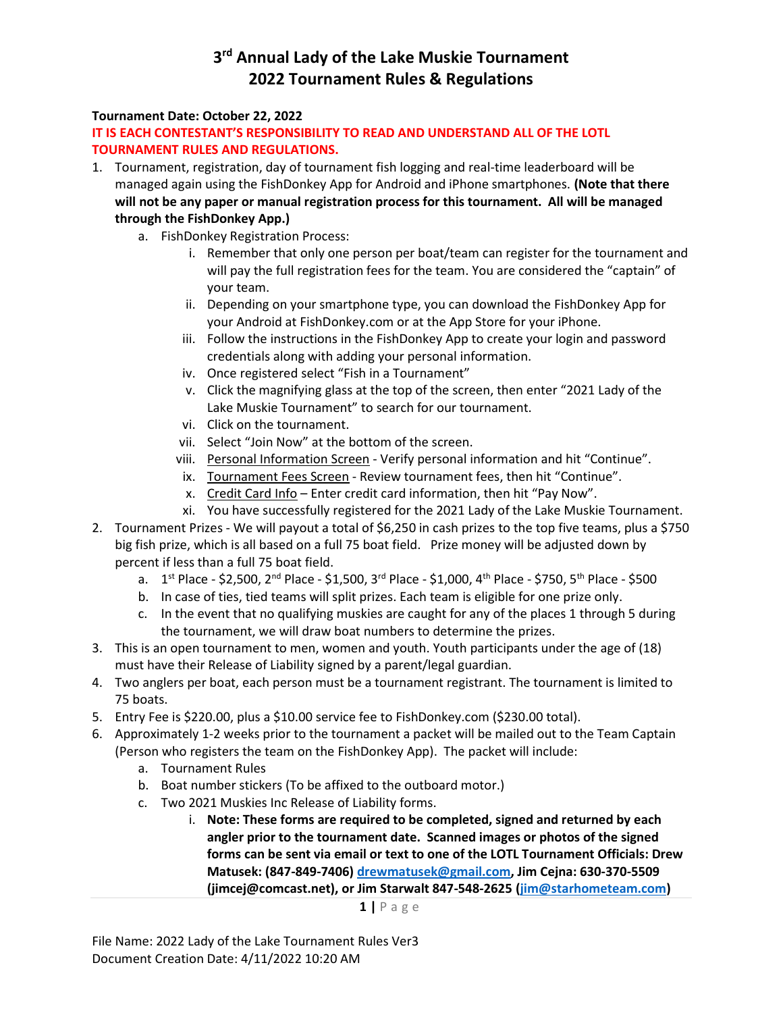### 3<sup>rd</sup> Annual Lady of the Lake Muskie Tournament 2022 Tournament Rules & Regulations

#### Tournament Date: October 22, 2022

#### IT IS EACH CONTESTANT'S RESPONSIBILITY TO READ AND UNDERSTAND ALL OF THE LOTL TOURNAMENT RULES AND REGULATIONS.

- 1. Tournament, registration, day of tournament fish logging and real-time leaderboard will be managed again using the FishDonkey App for Android and iPhone smartphones. (Note that there will not be any paper or manual registration process for this tournament. All will be managed through the FishDonkey App.)
	- a. FishDonkey Registration Process:
		- i. Remember that only one person per boat/team can register for the tournament and will pay the full registration fees for the team. You are considered the "captain" of your team.
		- ii. Depending on your smartphone type, you can download the FishDonkey App for your Android at FishDonkey.com or at the App Store for your iPhone.
		- iii. Follow the instructions in the FishDonkey App to create your login and password credentials along with adding your personal information.
		- iv. Once registered select "Fish in a Tournament"
		- v. Click the magnifying glass at the top of the screen, then enter "2021 Lady of the Lake Muskie Tournament" to search for our tournament.
		- vi. Click on the tournament.
		- vii. Select "Join Now" at the bottom of the screen.
		- viii. Personal Information Screen Verify personal information and hit "Continue".
		- ix. Tournament Fees Screen Review tournament fees, then hit "Continue".
		- x. Credit Card Info Enter credit card information, then hit "Pay Now".
		- xi. You have successfully registered for the 2021 Lady of the Lake Muskie Tournament.
- 2. Tournament Prizes We will payout a total of \$6,250 in cash prizes to the top five teams, plus a \$750 big fish prize, which is all based on a full 75 boat field. Prize money will be adjusted down by percent if less than a full 75 boat field.
	- a. 1<sup>st</sup> Place \$2,500, 2<sup>nd</sup> Place \$1,500, 3<sup>rd</sup> Place \$1,000, 4<sup>th</sup> Place \$750, 5<sup>th</sup> Place \$500
	- b. In case of ties, tied teams will split prizes. Each team is eligible for one prize only.
	- c. In the event that no qualifying muskies are caught for any of the places 1 through 5 during the tournament, we will draw boat numbers to determine the prizes.
- 3. This is an open tournament to men, women and youth. Youth participants under the age of (18) must have their Release of Liability signed by a parent/legal guardian.
- 4. Two anglers per boat, each person must be a tournament registrant. The tournament is limited to 75 boats.
- 5. Entry Fee is \$220.00, plus a \$10.00 service fee to FishDonkey.com (\$230.00 total).
- 6. Approximately 1-2 weeks prior to the tournament a packet will be mailed out to the Team Captain (Person who registers the team on the FishDonkey App). The packet will include:
	- a. Tournament Rules
	- b. Boat number stickers (To be affixed to the outboard motor.)
	- c. Two 2021 Muskies Inc Release of Liability forms.
		- i. Note: These forms are required to be completed, signed and returned by each angler prior to the tournament date. Scanned images or photos of the signed forms can be sent via email or text to one of the LOTL Tournament Officials: Drew Matusek: (847-849-7406) drewmatusek@gmail.com, Jim Cejna: 630-370-5509 (jimcej@comcast.net), or Jim Starwalt 847-548-2625 (jim@starhometeam.com)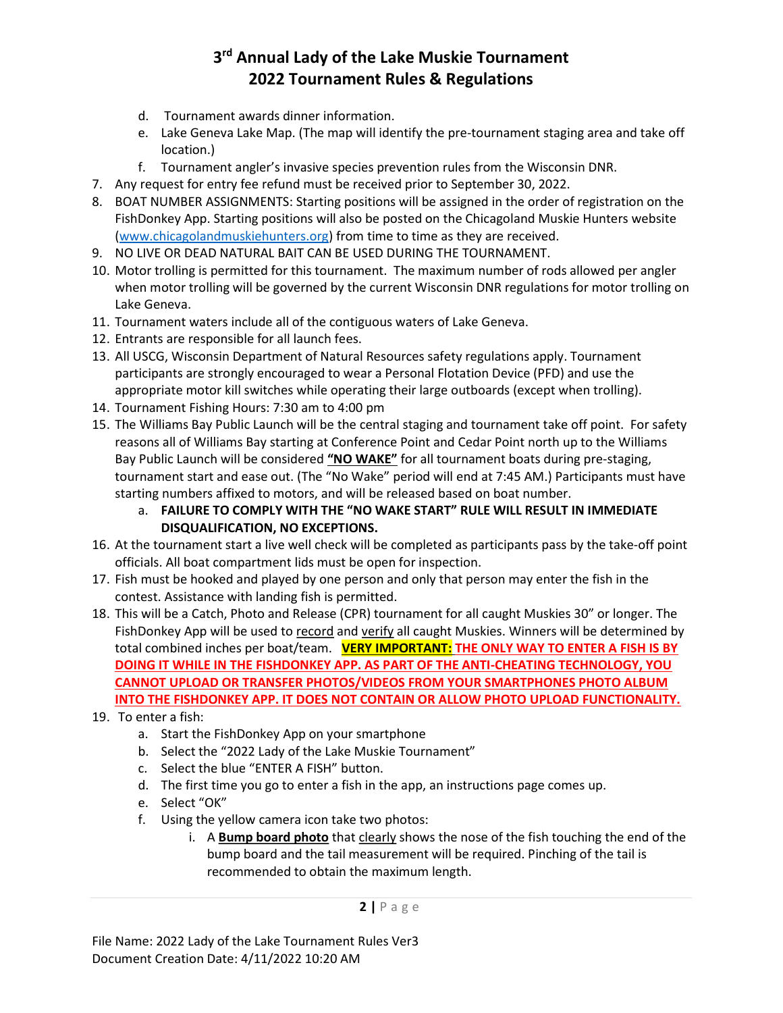# 3<sup>rd</sup> Annual Lady of the Lake Muskie Tournament 2022 Tournament Rules & Regulations

- d. Tournament awards dinner information.
- e. Lake Geneva Lake Map. (The map will identify the pre-tournament staging area and take off location.)
- f. Tournament angler's invasive species prevention rules from the Wisconsin DNR.
- 7. Any request for entry fee refund must be received prior to September 30, 2022.
- 8. BOAT NUMBER ASSIGNMENTS: Starting positions will be assigned in the order of registration on the FishDonkey App. Starting positions will also be posted on the Chicagoland Muskie Hunters website (www.chicagolandmuskiehunters.org) from time to time as they are received.
- 9. NO LIVE OR DEAD NATURAL BAIT CAN BE USED DURING THE TOURNAMENT.
- 10. Motor trolling is permitted for this tournament. The maximum number of rods allowed per angler when motor trolling will be governed by the current Wisconsin DNR regulations for motor trolling on Lake Geneva.
- 11. Tournament waters include all of the contiguous waters of Lake Geneva.
- 12. Entrants are responsible for all launch fees.
- 13. All USCG, Wisconsin Department of Natural Resources safety regulations apply. Tournament participants are strongly encouraged to wear a Personal Flotation Device (PFD) and use the appropriate motor kill switches while operating their large outboards (except when trolling).
- 14. Tournament Fishing Hours: 7:30 am to 4:00 pm
- 15. The Williams Bay Public Launch will be the central staging and tournament take off point. For safety reasons all of Williams Bay starting at Conference Point and Cedar Point north up to the Williams Bay Public Launch will be considered "NO WAKE" for all tournament boats during pre-staging, tournament start and ease out. (The "No Wake" period will end at 7:45 AM.) Participants must have starting numbers affixed to motors, and will be released based on boat number.
	- a. FAILURE TO COMPLY WITH THE "NO WAKE START" RULE WILL RESULT IN IMMEDIATE DISQUALIFICATION, NO EXCEPTIONS.
- 16. At the tournament start a live well check will be completed as participants pass by the take-off point officials. All boat compartment lids must be open for inspection.
- 17. Fish must be hooked and played by one person and only that person may enter the fish in the contest. Assistance with landing fish is permitted.
- 18. This will be a Catch, Photo and Release (CPR) tournament for all caught Muskies 30" or longer. The FishDonkey App will be used to record and verify all caught Muskies. Winners will be determined by total combined inches per boat/team. VERY IMPORTANT: THE ONLY WAY TO ENTER A FISH IS BY DOING IT WHILE IN THE FISHDONKEY APP. AS PART OF THE ANTI-CHEATING TECHNOLOGY, YOU CANNOT UPLOAD OR TRANSFER PHOTOS/VIDEOS FROM YOUR SMARTPHONES PHOTO ALBUM INTO THE FISHDONKEY APP. IT DOES NOT CONTAIN OR ALLOW PHOTO UPLOAD FUNCTIONALITY.
- 19. To enter a fish:
	- a. Start the FishDonkey App on your smartphone
	- b. Select the "2022 Lady of the Lake Muskie Tournament"
	- c. Select the blue "ENTER A FISH" button.
	- d. The first time you go to enter a fish in the app, an instructions page comes up.
	- e. Select "OK"
	- f. Using the yellow camera icon take two photos:
		- i. A Bump board photo that clearly shows the nose of the fish touching the end of the bump board and the tail measurement will be required. Pinching of the tail is recommended to obtain the maximum length.